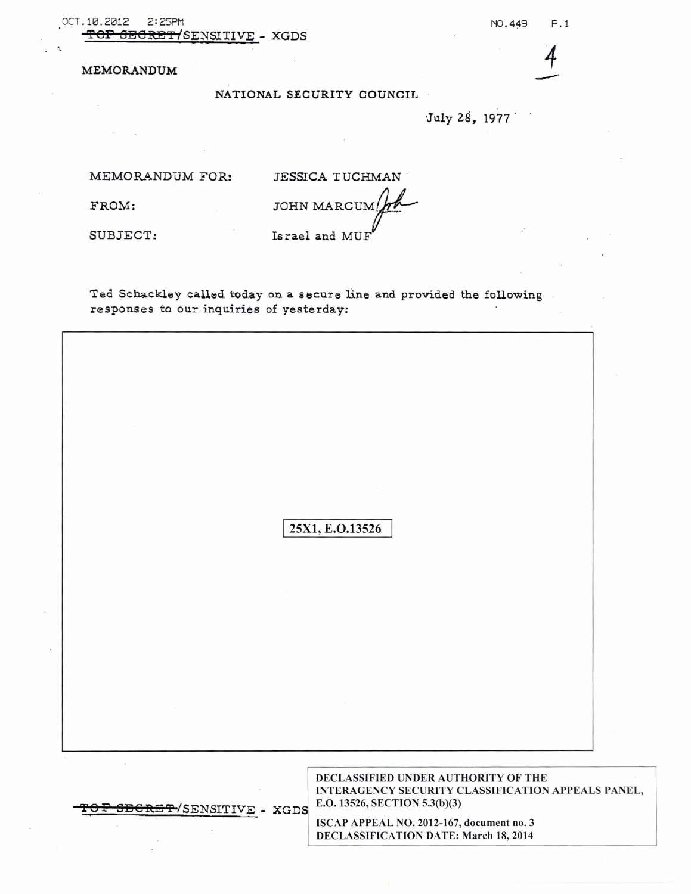OCT.10.2012 2:25PM NO.449 P.1 **SECRET/**SENSITIVE - XGDS

MEMORANDUM *4*

## NATIONAL SECURITY COUNCIL

·July 28, 1977

MEMORANDUM FOR: JESSICA TUCHMAN

FROM: JOHN MARCUM SUBJECT: Israel and MUH

Ted Schackley called today on a secure line and provided the following responses to our inquiries of yesterday:

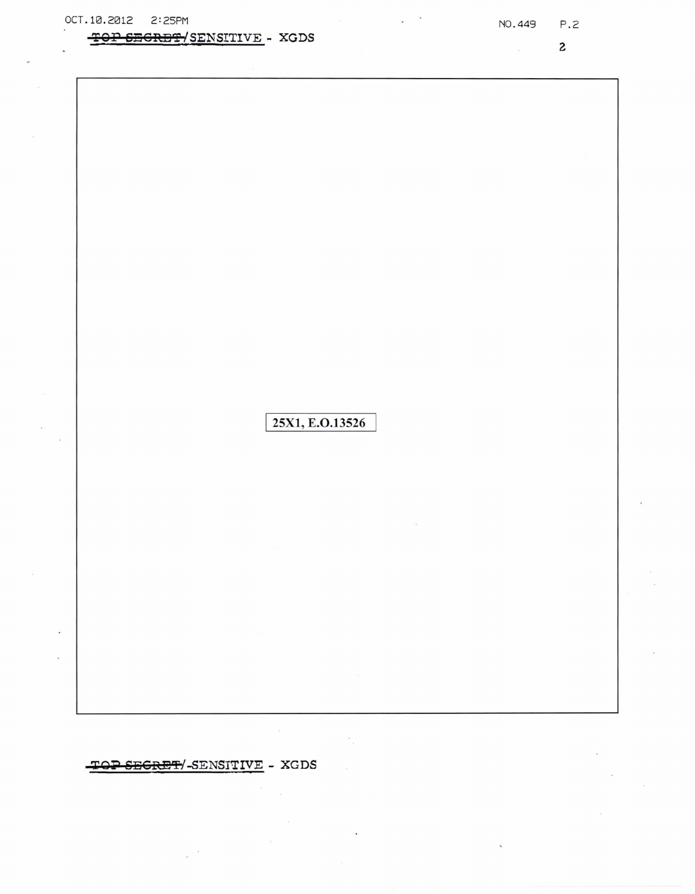## TOP SECRET/SENSITIVE - XGDS

 $\mathbf{z}$ 

25X1, E.O.13526

 $\sim$ 

TOP SECRET/-SENSITIVE - XGDS